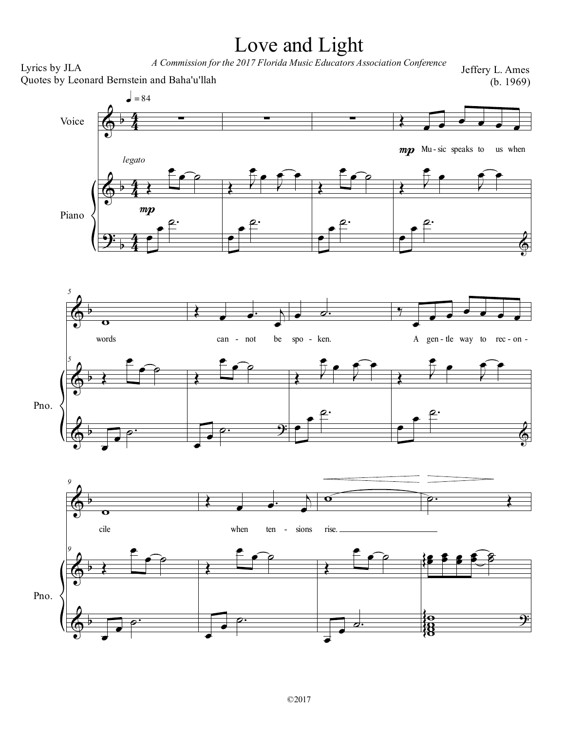## Love and Light

<sup>A</sup> Commission forthe <sup>2017</sup> Florida Music Educators Association Conference Lyrics by JLA

Jeffery L. Ames (b. 1969)

 $\widehat{\mathbf{e}}$ 

 $\widehat{\mathbf{e}}$ 

œ  $\bigodot$ ˙  $\spadesuit$ 

 $\Phi$ 

 $\overline{\mathbf{9}}$ 

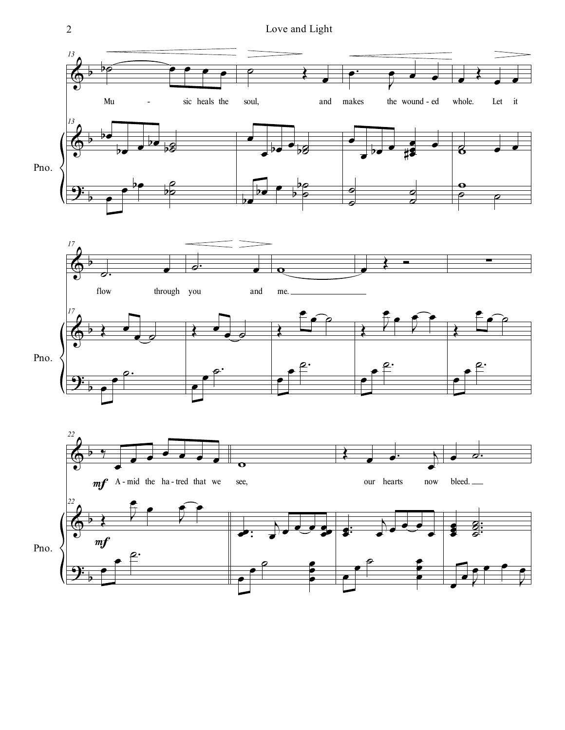2 Love and Light

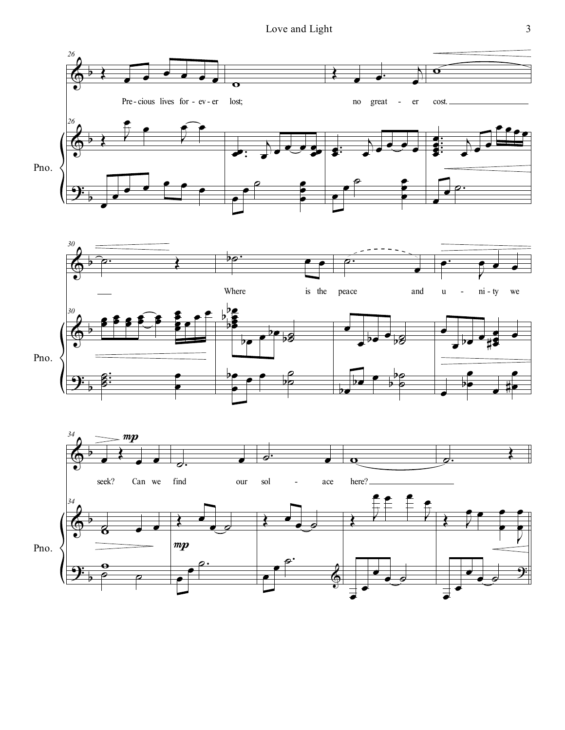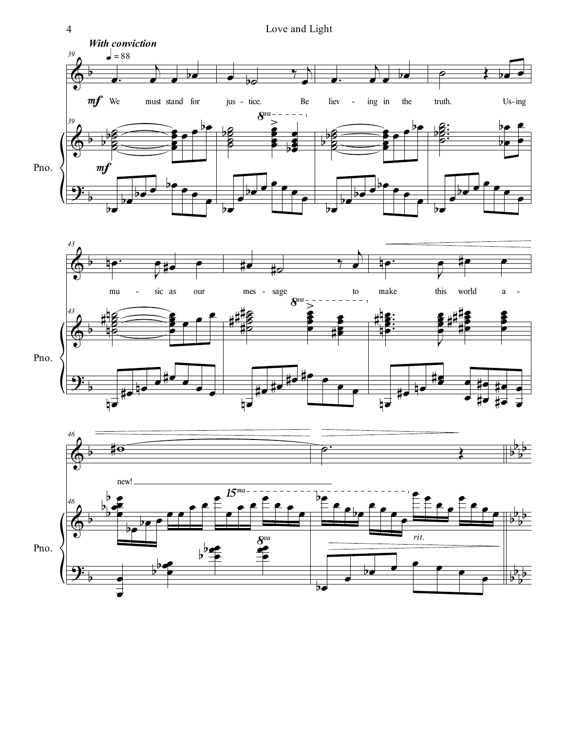



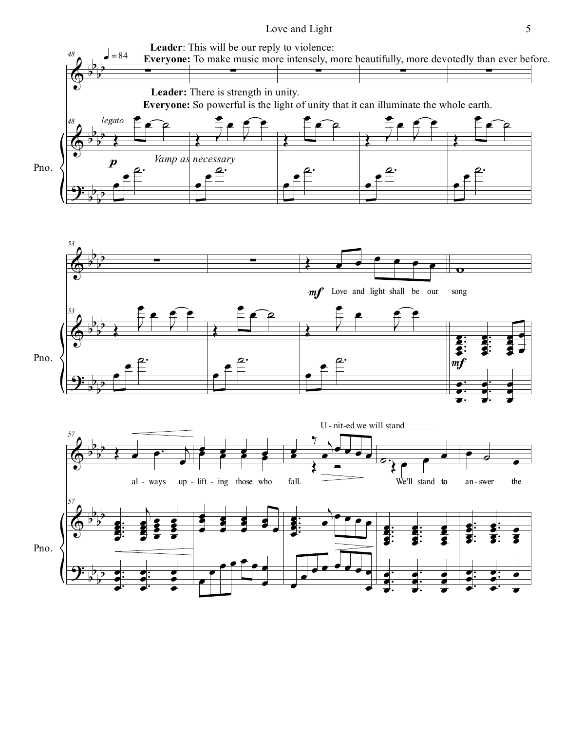## Love and Light 5